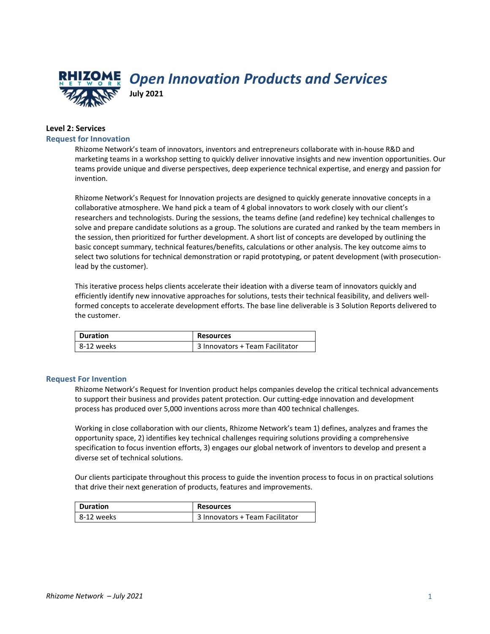

*Open Innovation Products and Services* **July 2021**

# **Level 2: Services**

## **Request for Innovation**

Rhizome Network's team of innovators, inventors and entrepreneurs collaborate with in-house R&D and marketing teams in a workshop setting to quickly deliver innovative insights and new invention opportunities. Our teams provide unique and diverse perspectives, deep experience technical expertise, and energy and passion for invention.

Rhizome Network's Request for Innovation projects are designed to quickly generate innovative concepts in a collaborative atmosphere. We hand pick a team of 4 global innovators to work closely with our client's researchers and technologists. During the sessions, the teams define (and redefine) key technical challenges to solve and prepare candidate solutions as a group. The solutions are curated and ranked by the team members in the session, then prioritized for further development. A short list of concepts are developed by outlining the basic concept summary, technical features/benefits, calculations or other analysis. The key outcome aims to select two solutions for technical demonstration or rapid prototyping, or patent development (with prosecutionlead by the customer).

This iterative process helps clients accelerate their ideation with a diverse team of innovators quickly and efficiently identify new innovative approaches for solutions, tests their technical feasibility, and delivers wellformed concepts to accelerate development efforts. The base line deliverable is 3 Solution Reports delivered to the customer.

| <b>Duration</b> | <b>Resources</b>                |
|-----------------|---------------------------------|
| 8-12 weeks      | 3 Innovators + Team Facilitator |

### **Request For Invention**

Rhizome Network's Request for Invention product helps companies develop the critical technical advancements to support their business and provides patent protection. Our cutting-edge innovation and development process has produced over 5,000 inventions across more than 400 technical challenges.

Working in close collaboration with our clients, Rhizome Network's team 1) defines, analyzes and frames the opportunity space, 2) identifies key technical challenges requiring solutions providing a comprehensive specification to focus invention efforts, 3) engages our global network of inventors to develop and present a diverse set of technical solutions.

Our clients participate throughout this process to guide the invention process to focus in on practical solutions that drive their next generation of products, features and improvements.

| <b>Duration</b> | <b>Resources</b>                |
|-----------------|---------------------------------|
| 8-12 weeks      | 3 Innovators + Team Facilitator |